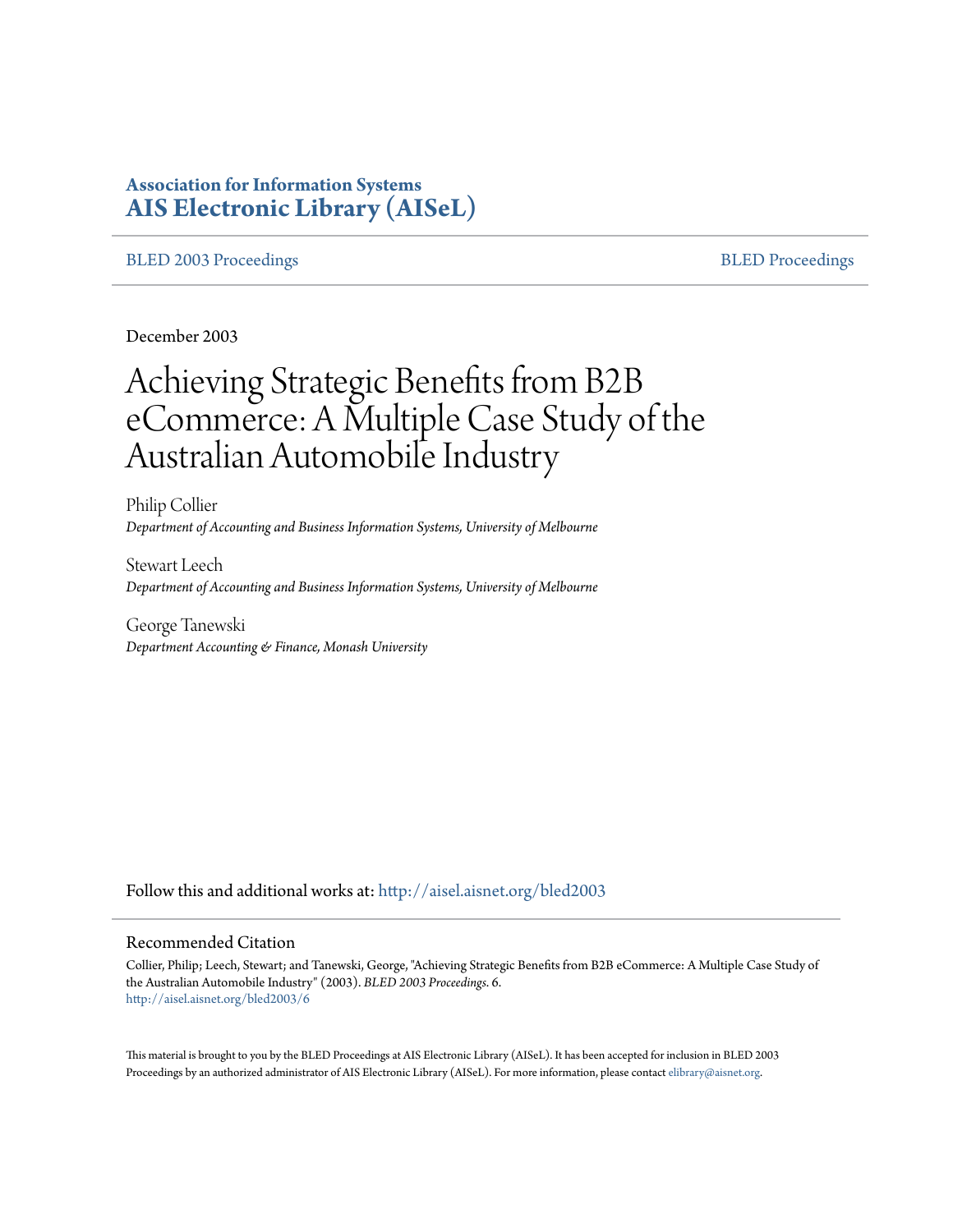# **Association for Information Systems [AIS Electronic Library \(AISeL\)](http://aisel.aisnet.org?utm_source=aisel.aisnet.org%2Fbled2003%2F6&utm_medium=PDF&utm_campaign=PDFCoverPages)**

#### [BLED 2003 Proceedings](http://aisel.aisnet.org/bled2003?utm_source=aisel.aisnet.org%2Fbled2003%2F6&utm_medium=PDF&utm_campaign=PDFCoverPages) and the state of the state of the [BLED Proceedings](http://aisel.aisnet.org/bled?utm_source=aisel.aisnet.org%2Fbled2003%2F6&utm_medium=PDF&utm_campaign=PDFCoverPages) and the BLED Proceedings and the BLED Proceedings and the BLED Proceedings and the BLED Proceedings and the BLED Proceedings and the BLED Proceedings

December 2003

# Achieving Strategic Benefits from B2B eCommerce: A Multiple Case Study of the Australian Automobile Industry

Philip Collier *Department of Accounting and Business Information Systems, University of Melbourne*

Stewart Leech *Department of Accounting and Business Information Systems, University of Melbourne*

George Tanewski *Department Accounting & Finance, Monash University*

Follow this and additional works at: [http://aisel.aisnet.org/bled2003](http://aisel.aisnet.org/bled2003?utm_source=aisel.aisnet.org%2Fbled2003%2F6&utm_medium=PDF&utm_campaign=PDFCoverPages)

#### Recommended Citation

Collier, Philip; Leech, Stewart; and Tanewski, George, "Achieving Strategic Benefits from B2B eCommerce: A Multiple Case Study of the Australian Automobile Industry" (2003). *BLED 2003 Proceedings*. 6. [http://aisel.aisnet.org/bled2003/6](http://aisel.aisnet.org/bled2003/6?utm_source=aisel.aisnet.org%2Fbled2003%2F6&utm_medium=PDF&utm_campaign=PDFCoverPages)

This material is brought to you by the BLED Proceedings at AIS Electronic Library (AISeL). It has been accepted for inclusion in BLED 2003 Proceedings by an authorized administrator of AIS Electronic Library (AISeL). For more information, please contact [elibrary@aisnet.org](mailto:elibrary@aisnet.org%3E).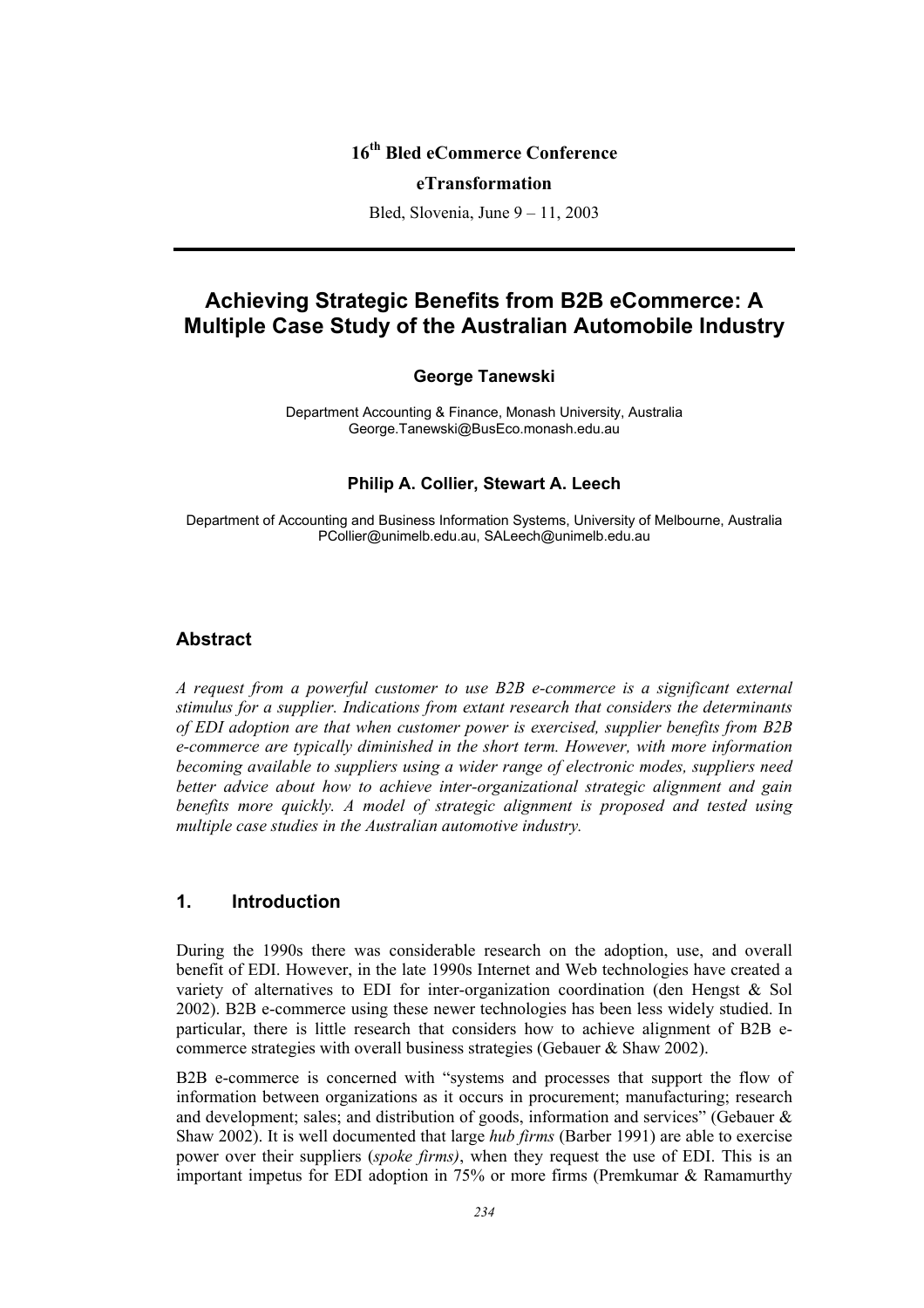# **16th Bled eCommerce Conference**

#### **eTransformation**

Bled, Slovenia, June 9 – 11, 2003

# **Achieving Strategic Benefits from B2B eCommerce: A Multiple Case Study of the Australian Automobile Industry**

## **George Tanewski**

Department Accounting & Finance, Monash University, Australia George.Tanewski@BusEco.monash.edu.au

#### **Philip A. Collier, Stewart A. Leech**

Department of Accounting and Business Information Systems, University of Melbourne, Australia PCollier@unimelb.edu.au, SALeech@unimelb.edu.au

## **Abstract**

*A request from a powerful customer to use B2B e-commerce is a significant external stimulus for a supplier. Indications from extant research that considers the determinants of EDI adoption are that when customer power is exercised, supplier benefits from B2B e-commerce are typically diminished in the short term. However, with more information becoming available to suppliers using a wider range of electronic modes, suppliers need better advice about how to achieve inter-organizational strategic alignment and gain benefits more quickly. A model of strategic alignment is proposed and tested using multiple case studies in the Australian automotive industry.* 

## **1. Introduction**

During the 1990s there was considerable research on the adoption, use, and overall benefit of EDI. However, in the late 1990s Internet and Web technologies have created a variety of alternatives to EDI for inter-organization coordination (den Hengst & Sol 2002). B2B e-commerce using these newer technologies has been less widely studied. In particular, there is little research that considers how to achieve alignment of B2B ecommerce strategies with overall business strategies (Gebauer & Shaw 2002).

B2B e-commerce is concerned with "systems and processes that support the flow of information between organizations as it occurs in procurement; manufacturing; research and development; sales; and distribution of goods, information and services" (Gebauer & Shaw 2002). It is well documented that large *hub firms* (Barber 1991) are able to exercise power over their suppliers (*spoke firms)*, when they request the use of EDI. This is an important impetus for EDI adoption in 75% or more firms (Premkumar & Ramamurthy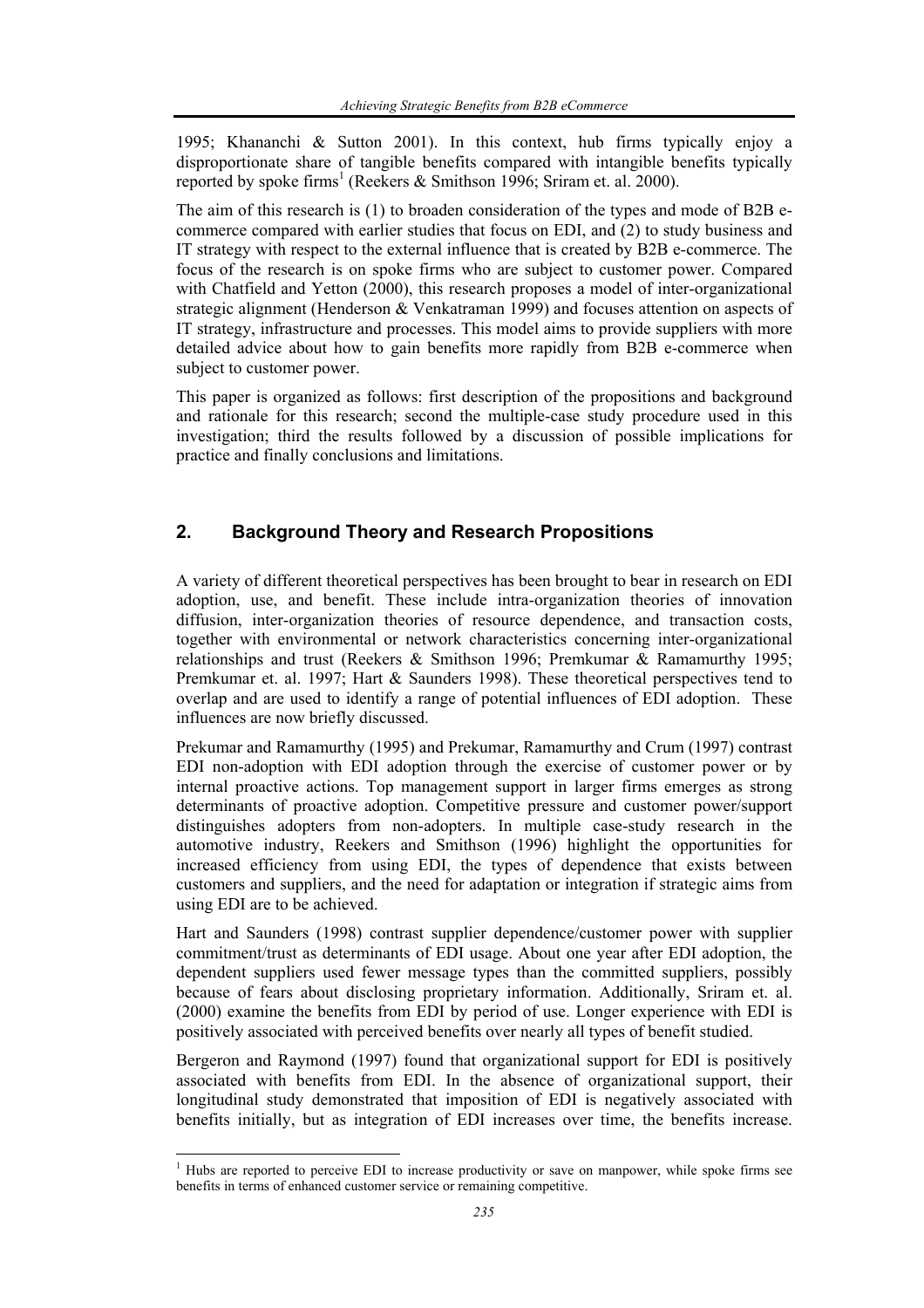1995; Khananchi & Sutton 2001). In this context, hub firms typically enjoy a disproportionate share of tangible benefits compared with intangible benefits typically reported by spoke firms<sup>1</sup> (Reekers & Smithson 1996; Sriram et. al. 2000).

The aim of this research is (1) to broaden consideration of the types and mode of B2B ecommerce compared with earlier studies that focus on EDI, and (2) to study business and IT strategy with respect to the external influence that is created by B2B e-commerce. The focus of the research is on spoke firms who are subject to customer power. Compared with Chatfield and Yetton (2000), this research proposes a model of inter-organizational strategic alignment (Henderson & Venkatraman 1999) and focuses attention on aspects of IT strategy, infrastructure and processes. This model aims to provide suppliers with more detailed advice about how to gain benefits more rapidly from B2B e-commerce when subject to customer power.

This paper is organized as follows: first description of the propositions and background and rationale for this research; second the multiple-case study procedure used in this investigation; third the results followed by a discussion of possible implications for practice and finally conclusions and limitations.

# **2. Background Theory and Research Propositions**

A variety of different theoretical perspectives has been brought to bear in research on EDI adoption, use, and benefit. These include intra-organization theories of innovation diffusion, inter-organization theories of resource dependence, and transaction costs, together with environmental or network characteristics concerning inter-organizational relationships and trust (Reekers & Smithson 1996; Premkumar & Ramamurthy 1995; Premkumar et. al. 1997; Hart & Saunders 1998). These theoretical perspectives tend to overlap and are used to identify a range of potential influences of EDI adoption. These influences are now briefly discussed.

Prekumar and Ramamurthy (1995) and Prekumar, Ramamurthy and Crum (1997) contrast EDI non-adoption with EDI adoption through the exercise of customer power or by internal proactive actions. Top management support in larger firms emerges as strong determinants of proactive adoption. Competitive pressure and customer power/support distinguishes adopters from non-adopters. In multiple case-study research in the automotive industry, Reekers and Smithson (1996) highlight the opportunities for increased efficiency from using EDI, the types of dependence that exists between customers and suppliers, and the need for adaptation or integration if strategic aims from using EDI are to be achieved.

Hart and Saunders (1998) contrast supplier dependence/customer power with supplier commitment/trust as determinants of EDI usage. About one year after EDI adoption, the dependent suppliers used fewer message types than the committed suppliers, possibly because of fears about disclosing proprietary information. Additionally, Sriram et. al. (2000) examine the benefits from EDI by period of use. Longer experience with EDI is positively associated with perceived benefits over nearly all types of benefit studied.

Bergeron and Raymond (1997) found that organizational support for EDI is positively associated with benefits from EDI. In the absence of organizational support, their longitudinal study demonstrated that imposition of EDI is negatively associated with benefits initially, but as integration of EDI increases over time, the benefits increase.

<sup>&</sup>lt;sup>1</sup> Hubs are reported to perceive EDI to increase productivity or save on manpower, while spoke firms see benefits in terms of enhanced customer service or remaining competitive.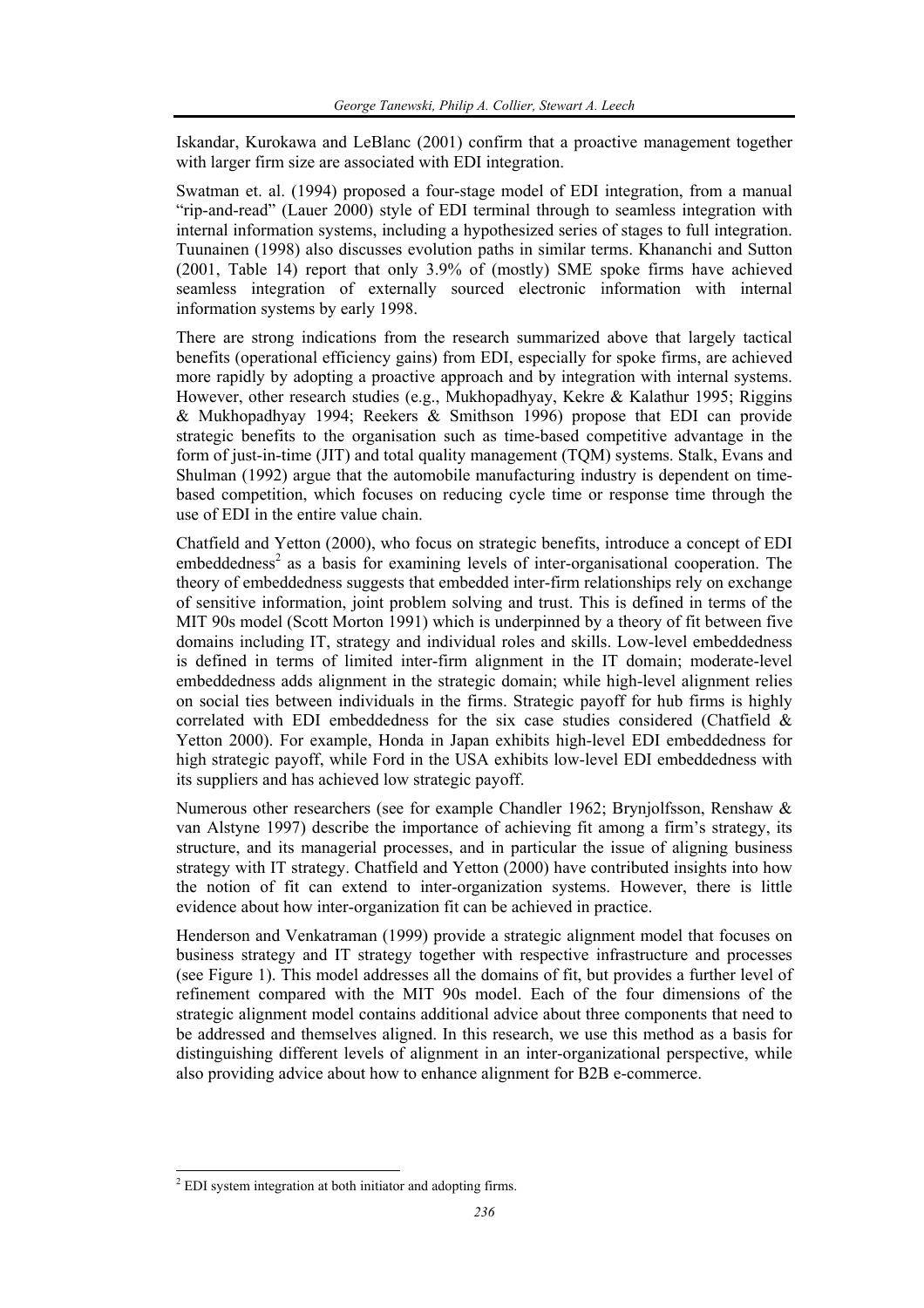Iskandar, Kurokawa and LeBlanc (2001) confirm that a proactive management together with larger firm size are associated with EDI integration.

Swatman et. al. (1994) proposed a four-stage model of EDI integration, from a manual "rip-and-read" (Lauer 2000) style of EDI terminal through to seamless integration with internal information systems, including a hypothesized series of stages to full integration. Tuunainen (1998) also discusses evolution paths in similar terms. Khananchi and Sutton (2001, Table 14) report that only 3.9% of (mostly) SME spoke firms have achieved seamless integration of externally sourced electronic information with internal information systems by early 1998.

There are strong indications from the research summarized above that largely tactical benefits (operational efficiency gains) from EDI, especially for spoke firms, are achieved more rapidly by adopting a proactive approach and by integration with internal systems. However, other research studies (e.g., Mukhopadhyay, Kekre & Kalathur 1995; Riggins & Mukhopadhyay 1994; Reekers & Smithson 1996) propose that EDI can provide strategic benefits to the organisation such as time-based competitive advantage in the form of just-in-time (JIT) and total quality management (TQM) systems. Stalk, Evans and Shulman (1992) argue that the automobile manufacturing industry is dependent on timebased competition, which focuses on reducing cycle time or response time through the use of EDI in the entire value chain.

Chatfield and Yetton (2000), who focus on strategic benefits, introduce a concept of EDI embeddedness<sup>2</sup> as a basis for examining levels of inter-organisational cooperation. The theory of embeddedness suggests that embedded inter-firm relationships rely on exchange of sensitive information, joint problem solving and trust. This is defined in terms of the MIT 90s model (Scott Morton 1991) which is underpinned by a theory of fit between five domains including IT, strategy and individual roles and skills. Low-level embeddedness is defined in terms of limited inter-firm alignment in the IT domain; moderate-level embeddedness adds alignment in the strategic domain; while high-level alignment relies on social ties between individuals in the firms. Strategic payoff for hub firms is highly correlated with EDI embeddedness for the six case studies considered (Chatfield & Yetton 2000). For example, Honda in Japan exhibits high-level EDI embeddedness for high strategic payoff, while Ford in the USA exhibits low-level EDI embeddedness with its suppliers and has achieved low strategic payoff.

Numerous other researchers (see for example Chandler 1962; Brynjolfsson, Renshaw & van Alstyne 1997) describe the importance of achieving fit among a firm's strategy, its structure, and its managerial processes, and in particular the issue of aligning business strategy with IT strategy. Chatfield and Yetton (2000) have contributed insights into how the notion of fit can extend to inter-organization systems. However, there is little evidence about how inter-organization fit can be achieved in practice.

Henderson and Venkatraman (1999) provide a strategic alignment model that focuses on business strategy and IT strategy together with respective infrastructure and processes (see Figure 1). This model addresses all the domains of fit, but provides a further level of refinement compared with the MIT 90s model. Each of the four dimensions of the strategic alignment model contains additional advice about three components that need to be addressed and themselves aligned. In this research, we use this method as a basis for distinguishing different levels of alignment in an inter-organizational perspective, while also providing advice about how to enhance alignment for B2B e-commerce.

<sup>&</sup>lt;sup>2</sup> EDI system integration at both initiator and adopting firms.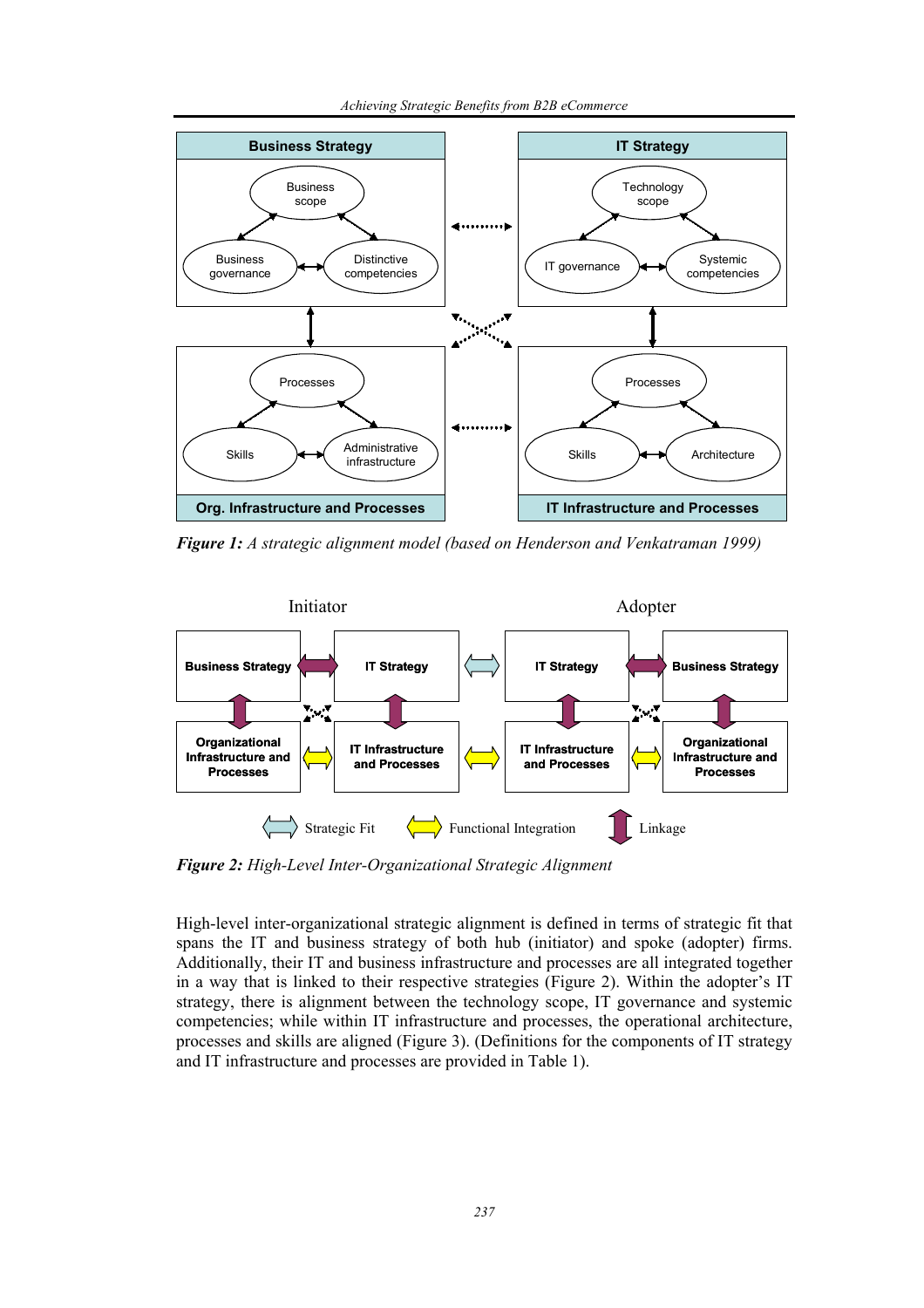*Achieving Strategic Benefits from B2B eCommerce* 



*Figure 1: A strategic alignment model (based on Henderson and Venkatraman 1999)* 



*Figure 2: High-Level Inter-Organizational Strategic Alignment* 

High-level inter-organizational strategic alignment is defined in terms of strategic fit that spans the IT and business strategy of both hub (initiator) and spoke (adopter) firms. Additionally, their IT and business infrastructure and processes are all integrated together in a way that is linked to their respective strategies (Figure 2). Within the adopter's IT strategy, there is alignment between the technology scope, IT governance and systemic competencies; while within IT infrastructure and processes, the operational architecture, processes and skills are aligned (Figure 3). (Definitions for the components of IT strategy and IT infrastructure and processes are provided in Table 1).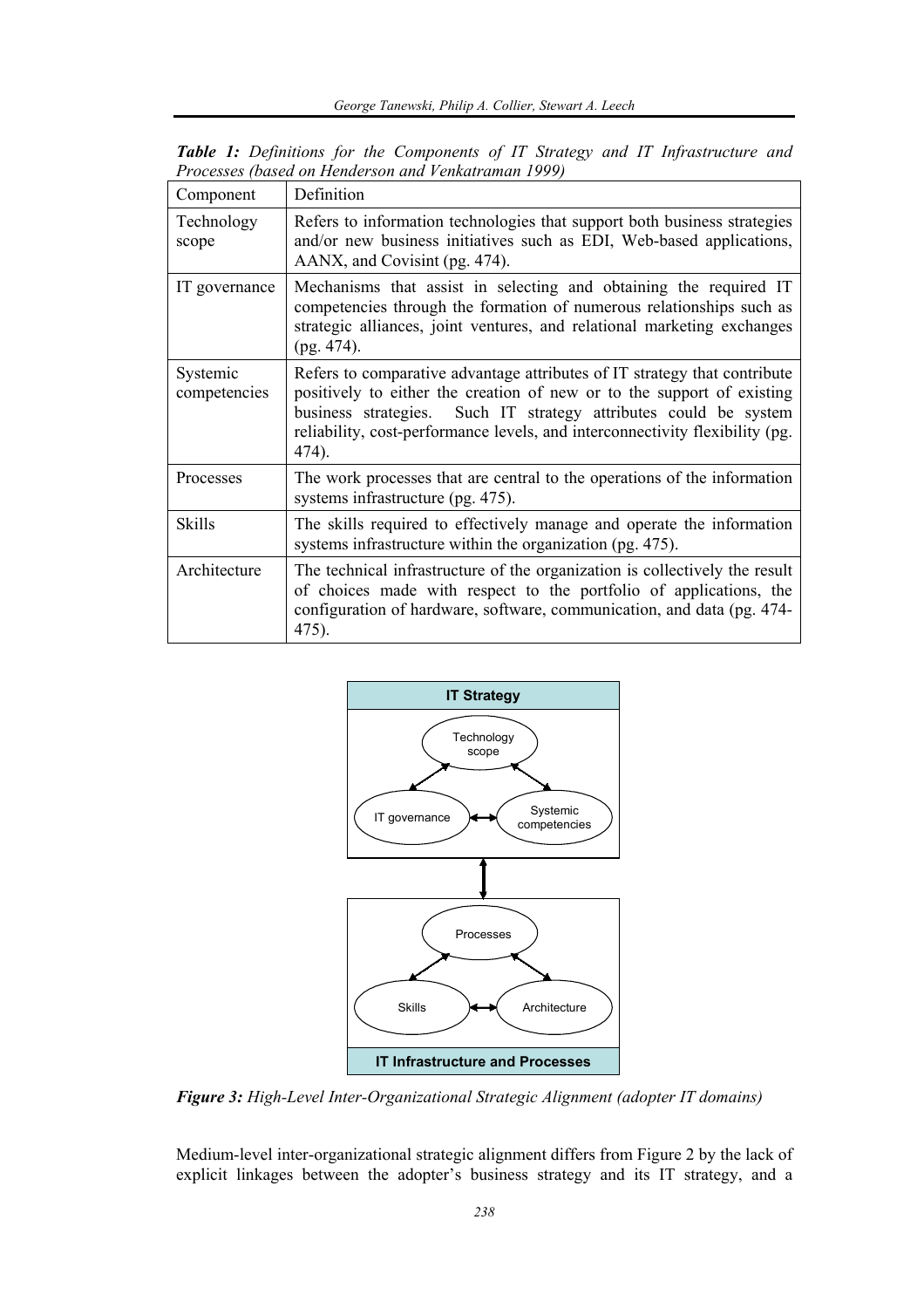| Component                | Definition                                                                                                                                                                                                                                                                                                          |  |  |
|--------------------------|---------------------------------------------------------------------------------------------------------------------------------------------------------------------------------------------------------------------------------------------------------------------------------------------------------------------|--|--|
| Technology<br>scope      | Refers to information technologies that support both business strategies<br>and/or new business initiatives such as EDI, Web-based applications,<br>AANX, and Covisint (pg. 474).                                                                                                                                   |  |  |
| IT governance            | Mechanisms that assist in selecting and obtaining the required IT<br>competencies through the formation of numerous relationships such as<br>strategic alliances, joint ventures, and relational marketing exchanges<br>$(pg. 474)$ .                                                                               |  |  |
| Systemic<br>competencies | Refers to comparative advantage attributes of IT strategy that contribute<br>positively to either the creation of new or to the support of existing<br>Such IT strategy attributes could be system<br>business strategies.<br>reliability, cost-performance levels, and interconnectivity flexibility (pg.<br>474). |  |  |
| Processes                | The work processes that are central to the operations of the information<br>systems infrastructure (pg. 475).                                                                                                                                                                                                       |  |  |
| Skills                   | The skills required to effectively manage and operate the information<br>systems infrastructure within the organization (pg. 475).                                                                                                                                                                                  |  |  |
| Architecture             | The technical infrastructure of the organization is collectively the result<br>of choices made with respect to the portfolio of applications, the<br>configuration of hardware, software, communication, and data (pg. 474-<br>475).                                                                                |  |  |

*Table 1: Definitions for the Components of IT Strategy and IT Infrastructure and Processes (based on Henderson and Venkatraman 1999)* 



*Figure 3: High-Level Inter-Organizational Strategic Alignment (adopter IT domains)* 

Medium-level inter-organizational strategic alignment differs from Figure 2 by the lack of explicit linkages between the adopter's business strategy and its IT strategy, and a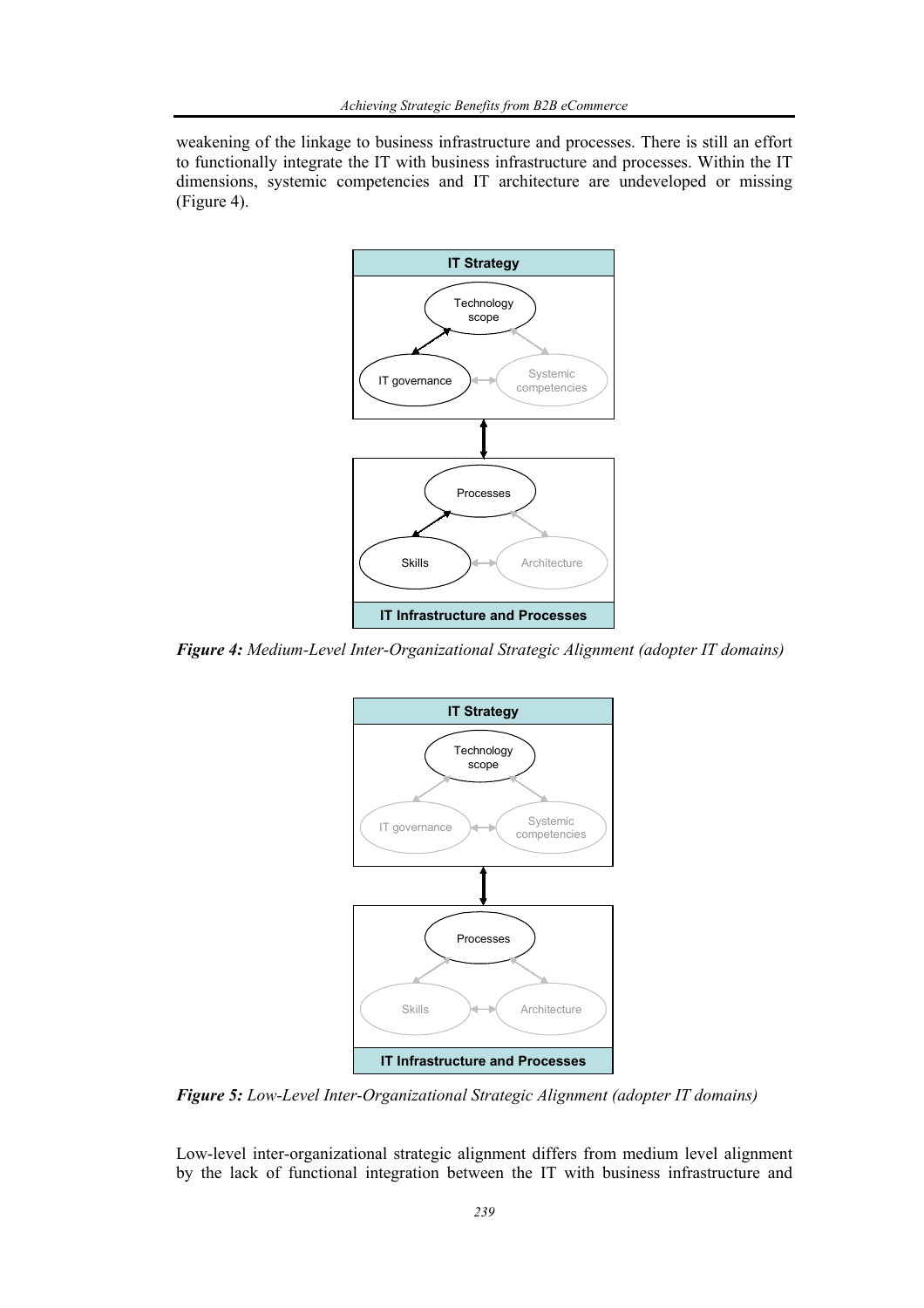weakening of the linkage to business infrastructure and processes. There is still an effort to functionally integrate the IT with business infrastructure and processes. Within the IT dimensions, systemic competencies and IT architecture are undeveloped or missing (Figure 4).



*Figure 4: Medium-Level Inter-Organizational Strategic Alignment (adopter IT domains)* 



*Figure 5: Low-Level Inter-Organizational Strategic Alignment (adopter IT domains)* 

Low-level inter-organizational strategic alignment differs from medium level alignment by the lack of functional integration between the IT with business infrastructure and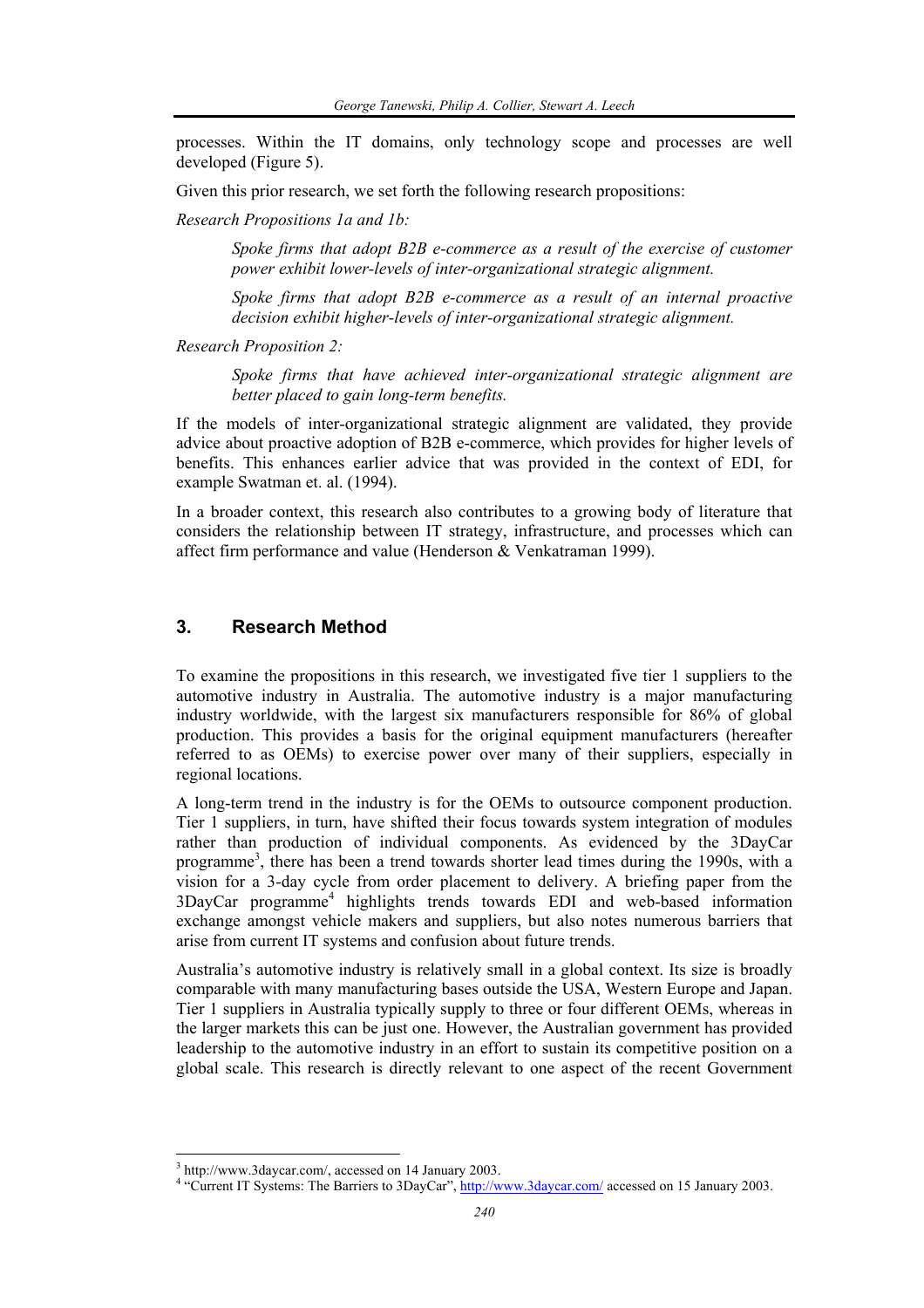processes. Within the IT domains, only technology scope and processes are well developed (Figure 5).

Given this prior research, we set forth the following research propositions:

*Research Propositions 1a and 1b:* 

*Spoke firms that adopt B2B e-commerce as a result of the exercise of customer power exhibit lower-levels of inter-organizational strategic alignment.* 

*Spoke firms that adopt B2B e-commerce as a result of an internal proactive decision exhibit higher-levels of inter-organizational strategic alignment.*

*Research Proposition 2:* 

*Spoke firms that have achieved inter-organizational strategic alignment are better placed to gain long-term benefits.* 

If the models of inter-organizational strategic alignment are validated, they provide advice about proactive adoption of B2B e-commerce, which provides for higher levels of benefits. This enhances earlier advice that was provided in the context of EDI, for example Swatman et. al. (1994).

In a broader context, this research also contributes to a growing body of literature that considers the relationship between IT strategy, infrastructure, and processes which can affect firm performance and value (Henderson & Venkatraman 1999).

# **3. Research Method**

To examine the propositions in this research, we investigated five tier 1 suppliers to the automotive industry in Australia. The automotive industry is a major manufacturing industry worldwide, with the largest six manufacturers responsible for 86% of global production. This provides a basis for the original equipment manufacturers (hereafter referred to as OEMs) to exercise power over many of their suppliers, especially in regional locations.

A long-term trend in the industry is for the OEMs to outsource component production. Tier 1 suppliers, in turn, have shifted their focus towards system integration of modules rather than production of individual components. As evidenced by the 3DayCar programme<sup>3</sup>, there has been a trend towards shorter lead times during the 1990s, with a vision for a 3-day cycle from order placement to delivery. A briefing paper from the 3DayCar programme<sup>4</sup> highlights trends towards EDI and web-based information exchange amongst vehicle makers and suppliers, but also notes numerous barriers that arise from current IT systems and confusion about future trends.

Australia's automotive industry is relatively small in a global context. Its size is broadly comparable with many manufacturing bases outside the USA, Western Europe and Japan. Tier 1 suppliers in Australia typically supply to three or four different OEMs, whereas in the larger markets this can be just one. However, the Australian government has provided leadership to the automotive industry in an effort to sustain its competitive position on a global scale. This research is directly relevant to one aspect of the recent Government

<sup>&</sup>lt;sup>3</sup> http://www.3daycar.com/, accessed on 14 January 2003.

<sup>&</sup>lt;sup>4</sup> "Current IT Systems: The Barriers to 3DayCar", http://www.3daycar.com/ accessed on 15 January 2003.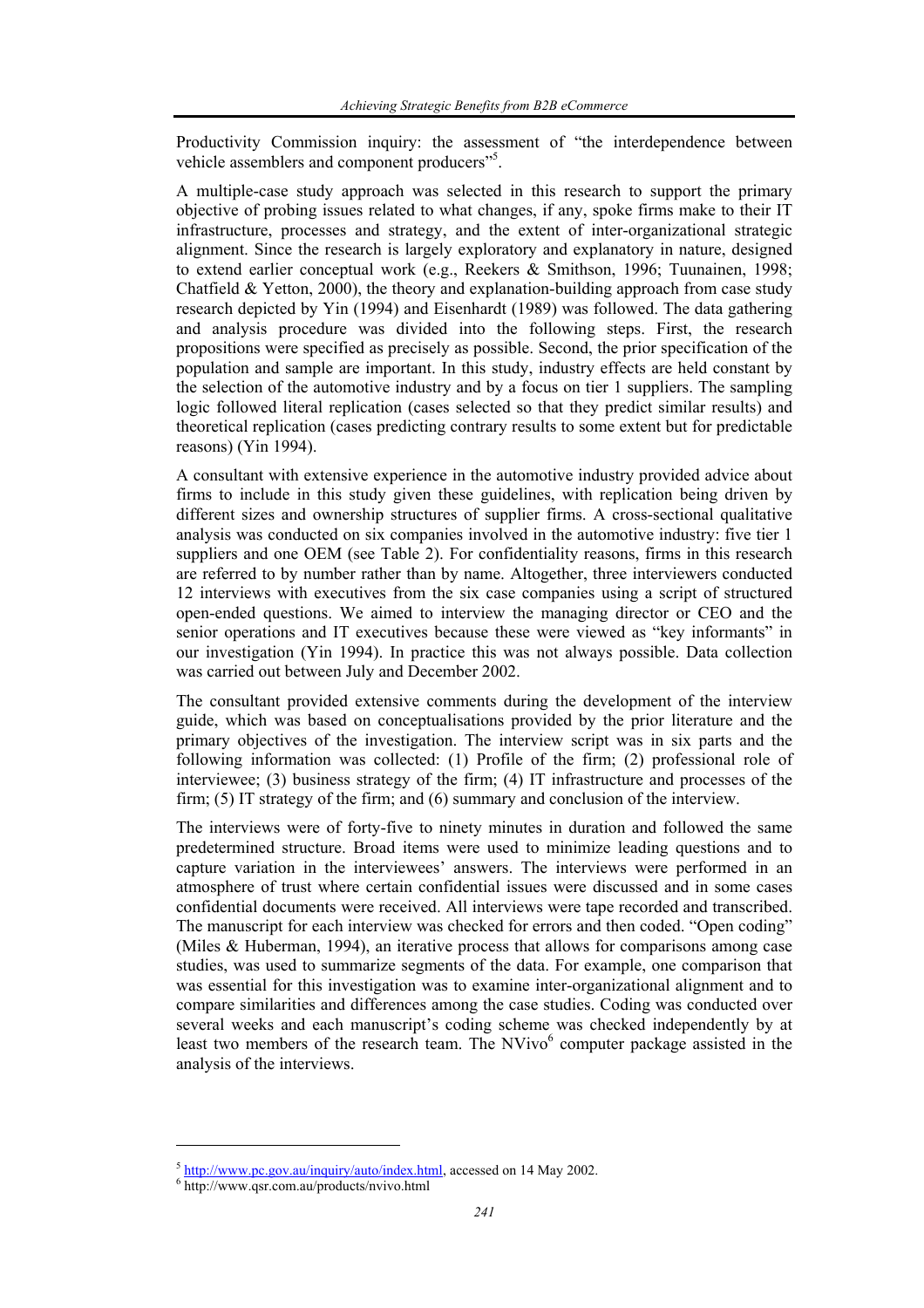Productivity Commission inquiry: the assessment of "the interdependence between vehicle assemblers and component producers"<sup>5</sup>.

A multiple-case study approach was selected in this research to support the primary objective of probing issues related to what changes, if any, spoke firms make to their IT infrastructure, processes and strategy, and the extent of inter-organizational strategic alignment. Since the research is largely exploratory and explanatory in nature, designed to extend earlier conceptual work (e.g., Reekers & Smithson, 1996; Tuunainen, 1998; Chatfield  $&$  Yetton, 2000), the theory and explanation-building approach from case study research depicted by Yin (1994) and Eisenhardt (1989) was followed. The data gathering and analysis procedure was divided into the following steps. First, the research propositions were specified as precisely as possible. Second, the prior specification of the population and sample are important. In this study, industry effects are held constant by the selection of the automotive industry and by a focus on tier 1 suppliers. The sampling logic followed literal replication (cases selected so that they predict similar results) and theoretical replication (cases predicting contrary results to some extent but for predictable reasons) (Yin 1994).

A consultant with extensive experience in the automotive industry provided advice about firms to include in this study given these guidelines, with replication being driven by different sizes and ownership structures of supplier firms. A cross-sectional qualitative analysis was conducted on six companies involved in the automotive industry: five tier 1 suppliers and one OEM (see Table 2). For confidentiality reasons, firms in this research are referred to by number rather than by name. Altogether, three interviewers conducted 12 interviews with executives from the six case companies using a script of structured open-ended questions. We aimed to interview the managing director or CEO and the senior operations and IT executives because these were viewed as "key informants" in our investigation (Yin 1994). In practice this was not always possible. Data collection was carried out between July and December 2002.

The consultant provided extensive comments during the development of the interview guide, which was based on conceptualisations provided by the prior literature and the primary objectives of the investigation. The interview script was in six parts and the following information was collected: (1) Profile of the firm; (2) professional role of interviewee; (3) business strategy of the firm; (4) IT infrastructure and processes of the firm; (5) IT strategy of the firm; and (6) summary and conclusion of the interview.

The interviews were of forty-five to ninety minutes in duration and followed the same predetermined structure. Broad items were used to minimize leading questions and to capture variation in the interviewees' answers. The interviews were performed in an atmosphere of trust where certain confidential issues were discussed and in some cases confidential documents were received. All interviews were tape recorded and transcribed. The manuscript for each interview was checked for errors and then coded. "Open coding" (Miles & Huberman, 1994), an iterative process that allows for comparisons among case studies, was used to summarize segments of the data. For example, one comparison that was essential for this investigation was to examine inter-organizational alignment and to compare similarities and differences among the case studies. Coding was conducted over several weeks and each manuscript's coding scheme was checked independently by at least two members of the research team. The NVivo<sup>6</sup> computer package assisted in the analysis of the interviews.

 $<sup>5</sup>$  http://www.pc.gov.au/inquiry/auto/index.html, accessed on 14 May 2002.</sup>

<sup>&</sup>lt;sup>6</sup> http://www.qsr.com.au/products/nvivo.html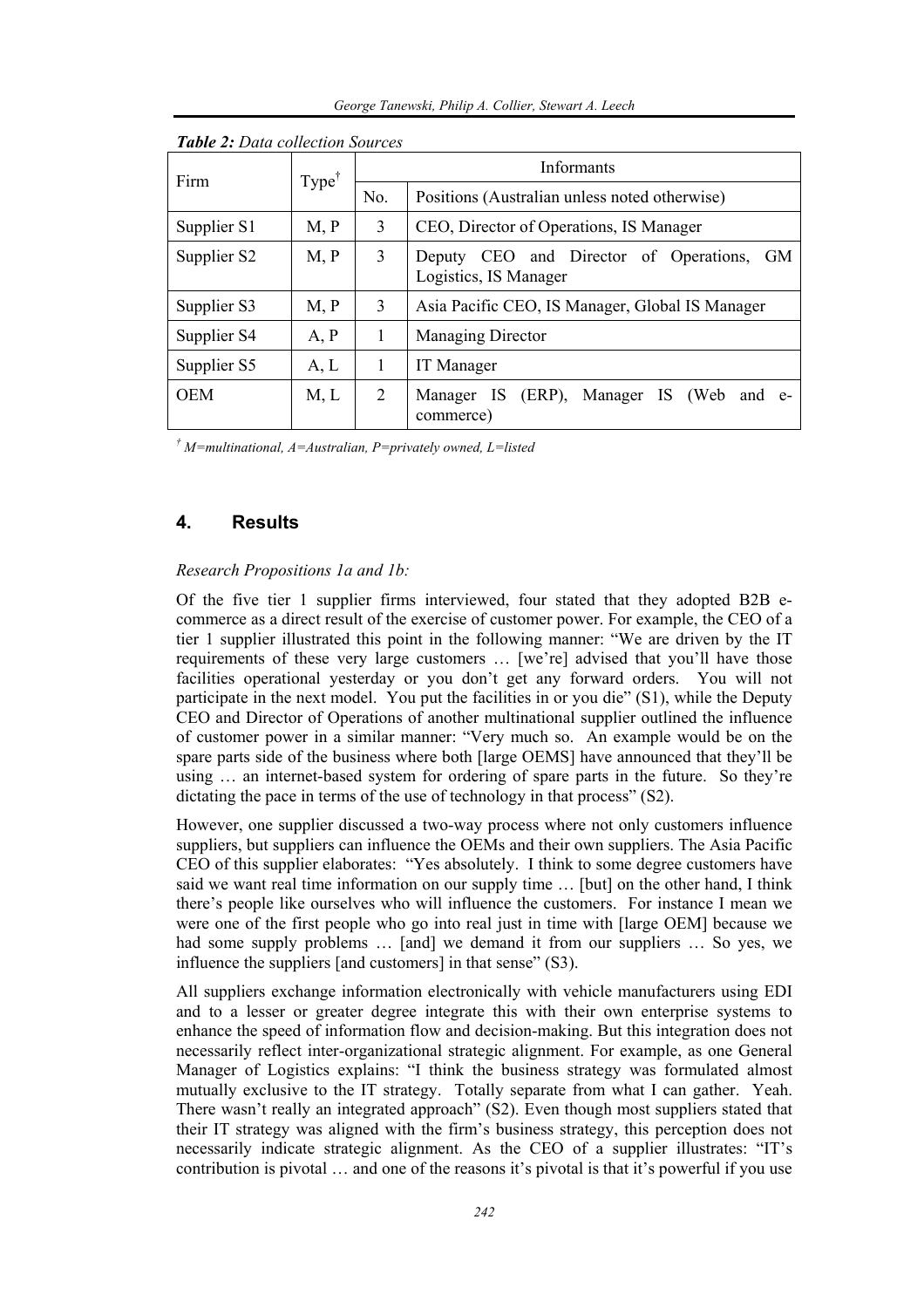| Firm        | $Type^{\dagger}$ |     | Informants                                                                      |
|-------------|------------------|-----|---------------------------------------------------------------------------------|
|             |                  | No. | Positions (Australian unless noted otherwise)                                   |
| Supplier S1 | M, P             | 3   | CEO, Director of Operations, IS Manager                                         |
| Supplier S2 | M, P             | 3   | CEO and Director of Operations,<br><b>GM</b><br>Deputy<br>Logistics, IS Manager |
| Supplier S3 | M, P             | 3   | Asia Pacific CEO, IS Manager, Global IS Manager                                 |
| Supplier S4 | A, P             | 1   | <b>Managing Director</b>                                                        |
| Supplier S5 | A, L             | 1   | <b>IT</b> Manager                                                               |
| <b>OEM</b>  | M, L             | 2   | Manager IS<br>$(ERP)$ ,<br>(Web)<br>-IS<br>Manager<br>and e-<br>commerce)       |

*Table 2: Data collection Sources* 

*† M=multinational, A=Australian, P=privately owned, L=listed* 

## **4. Results**

#### *Research Propositions 1a and 1b:*

Of the five tier 1 supplier firms interviewed, four stated that they adopted B2B ecommerce as a direct result of the exercise of customer power. For example, the CEO of a tier 1 supplier illustrated this point in the following manner: "We are driven by the IT requirements of these very large customers … [we're] advised that you'll have those facilities operational yesterday or you don't get any forward orders. You will not participate in the next model. You put the facilities in or you die" (S1), while the Deputy CEO and Director of Operations of another multinational supplier outlined the influence of customer power in a similar manner: "Very much so. An example would be on the spare parts side of the business where both [large OEMS] have announced that they'll be using ... an internet-based system for ordering of spare parts in the future. So they're dictating the pace in terms of the use of technology in that process" (S2).

However, one supplier discussed a two-way process where not only customers influence suppliers, but suppliers can influence the OEMs and their own suppliers. The Asia Pacific CEO of this supplier elaborates: "Yes absolutely. I think to some degree customers have said we want real time information on our supply time … [but] on the other hand, I think there's people like ourselves who will influence the customers. For instance I mean we were one of the first people who go into real just in time with [large OEM] because we had some supply problems ... [and] we demand it from our suppliers ... So yes, we influence the suppliers [and customers] in that sense" (S3).

All suppliers exchange information electronically with vehicle manufacturers using EDI and to a lesser or greater degree integrate this with their own enterprise systems to enhance the speed of information flow and decision-making. But this integration does not necessarily reflect inter-organizational strategic alignment. For example, as one General Manager of Logistics explains: "I think the business strategy was formulated almost mutually exclusive to the IT strategy. Totally separate from what I can gather. Yeah. There wasn't really an integrated approach" (S2). Even though most suppliers stated that their IT strategy was aligned with the firm's business strategy, this perception does not necessarily indicate strategic alignment. As the CEO of a supplier illustrates: "IT's contribution is pivotal … and one of the reasons it's pivotal is that it's powerful if you use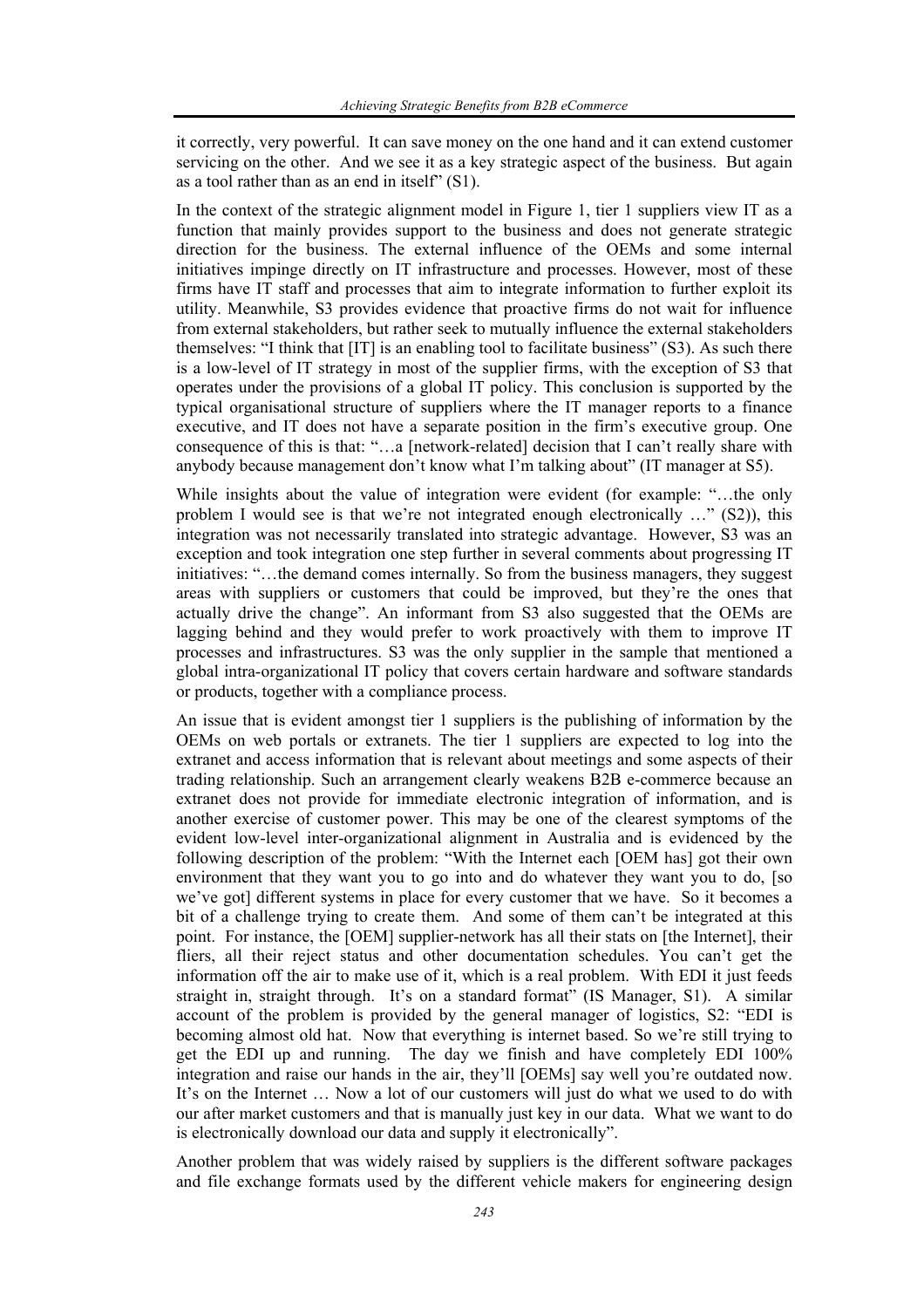it correctly, very powerful. It can save money on the one hand and it can extend customer servicing on the other. And we see it as a key strategic aspect of the business. But again as a tool rather than as an end in itself" (S1).

In the context of the strategic alignment model in Figure 1, tier 1 suppliers view IT as a function that mainly provides support to the business and does not generate strategic direction for the business. The external influence of the OEMs and some internal initiatives impinge directly on IT infrastructure and processes. However, most of these firms have IT staff and processes that aim to integrate information to further exploit its utility. Meanwhile, S3 provides evidence that proactive firms do not wait for influence from external stakeholders, but rather seek to mutually influence the external stakeholders themselves: "I think that [IT] is an enabling tool to facilitate business" (S3). As such there is a low-level of IT strategy in most of the supplier firms, with the exception of S3 that operates under the provisions of a global IT policy. This conclusion is supported by the typical organisational structure of suppliers where the IT manager reports to a finance executive, and IT does not have a separate position in the firm's executive group. One consequence of this is that: "…a [network-related] decision that I can't really share with anybody because management don't know what I'm talking about" (IT manager at S5).

While insights about the value of integration were evident (for example: "…the only problem I would see is that we're not integrated enough electronically …" (S2)), this integration was not necessarily translated into strategic advantage. However, S3 was an exception and took integration one step further in several comments about progressing IT initiatives: "…the demand comes internally. So from the business managers, they suggest areas with suppliers or customers that could be improved, but they're the ones that actually drive the change". An informant from S3 also suggested that the OEMs are lagging behind and they would prefer to work proactively with them to improve IT processes and infrastructures. S3 was the only supplier in the sample that mentioned a global intra-organizational IT policy that covers certain hardware and software standards or products, together with a compliance process.

An issue that is evident amongst tier 1 suppliers is the publishing of information by the OEMs on web portals or extranets. The tier 1 suppliers are expected to log into the extranet and access information that is relevant about meetings and some aspects of their trading relationship. Such an arrangement clearly weakens B2B e-commerce because an extranet does not provide for immediate electronic integration of information, and is another exercise of customer power. This may be one of the clearest symptoms of the evident low-level inter-organizational alignment in Australia and is evidenced by the following description of the problem: "With the Internet each [OEM has] got their own environment that they want you to go into and do whatever they want you to do, [so we've got] different systems in place for every customer that we have. So it becomes a bit of a challenge trying to create them. And some of them can't be integrated at this point. For instance, the [OEM] supplier-network has all their stats on [the Internet], their fliers, all their reject status and other documentation schedules. You can't get the information off the air to make use of it, which is a real problem. With EDI it just feeds straight in, straight through. It's on a standard format" (IS Manager, S1). A similar account of the problem is provided by the general manager of logistics, S2: "EDI is becoming almost old hat. Now that everything is internet based. So we're still trying to get the EDI up and running. The day we finish and have completely EDI 100% integration and raise our hands in the air, they'll [OEMs] say well you're outdated now. It's on the Internet ... Now a lot of our customers will just do what we used to do with our after market customers and that is manually just key in our data. What we want to do is electronically download our data and supply it electronically".

Another problem that was widely raised by suppliers is the different software packages and file exchange formats used by the different vehicle makers for engineering design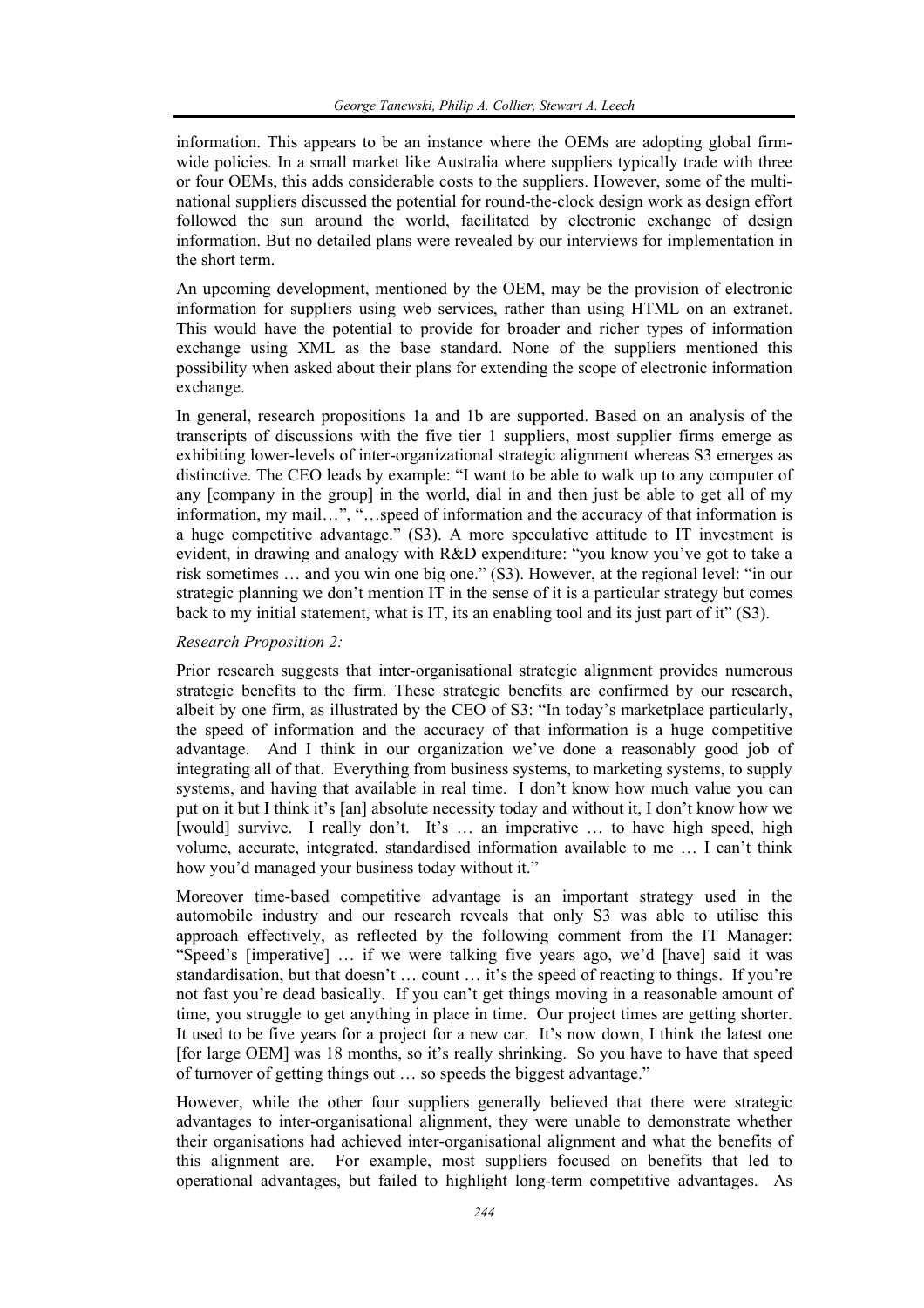information. This appears to be an instance where the OEMs are adopting global firmwide policies. In a small market like Australia where suppliers typically trade with three or four OEMs, this adds considerable costs to the suppliers. However, some of the multinational suppliers discussed the potential for round-the-clock design work as design effort followed the sun around the world, facilitated by electronic exchange of design information. But no detailed plans were revealed by our interviews for implementation in the short term.

An upcoming development, mentioned by the OEM, may be the provision of electronic information for suppliers using web services, rather than using HTML on an extranet. This would have the potential to provide for broader and richer types of information exchange using XML as the base standard. None of the suppliers mentioned this possibility when asked about their plans for extending the scope of electronic information exchange.

In general, research propositions 1a and 1b are supported. Based on an analysis of the transcripts of discussions with the five tier 1 suppliers, most supplier firms emerge as exhibiting lower-levels of inter-organizational strategic alignment whereas S3 emerges as distinctive. The CEO leads by example: "I want to be able to walk up to any computer of any [company in the group] in the world, dial in and then just be able to get all of my information, my mail…", "…speed of information and the accuracy of that information is a huge competitive advantage." (S3). A more speculative attitude to IT investment is evident, in drawing and analogy with R&D expenditure: "you know you've got to take a risk sometimes … and you win one big one." (S3). However, at the regional level: "in our strategic planning we don't mention IT in the sense of it is a particular strategy but comes back to my initial statement, what is IT, its an enabling tool and its just part of it" (S3).

#### *Research Proposition 2:*

Prior research suggests that inter-organisational strategic alignment provides numerous strategic benefits to the firm. These strategic benefits are confirmed by our research, albeit by one firm, as illustrated by the CEO of S3: "In today's marketplace particularly, the speed of information and the accuracy of that information is a huge competitive advantage. And I think in our organization we've done a reasonably good job of integrating all of that. Everything from business systems, to marketing systems, to supply systems, and having that available in real time. I don't know how much value you can put on it but I think it's [an] absolute necessity today and without it, I don't know how we [would] survive. I really don't. It's ... an imperative ... to have high speed, high volume, accurate, integrated, standardised information available to me … I can't think how you'd managed your business today without it."

Moreover time-based competitive advantage is an important strategy used in the automobile industry and our research reveals that only S3 was able to utilise this approach effectively, as reflected by the following comment from the IT Manager: "Speed's [imperative] … if we were talking five years ago, we'd [have] said it was standardisation, but that doesn't … count … it's the speed of reacting to things. If you're not fast you're dead basically. If you can't get things moving in a reasonable amount of time, you struggle to get anything in place in time. Our project times are getting shorter. It used to be five years for a project for a new car. It's now down, I think the latest one [for large OEM] was 18 months, so it's really shrinking. So you have to have that speed of turnover of getting things out … so speeds the biggest advantage."

However, while the other four suppliers generally believed that there were strategic advantages to inter-organisational alignment, they were unable to demonstrate whether their organisations had achieved inter-organisational alignment and what the benefits of this alignment are. For example, most suppliers focused on benefits that led to operational advantages, but failed to highlight long-term competitive advantages. As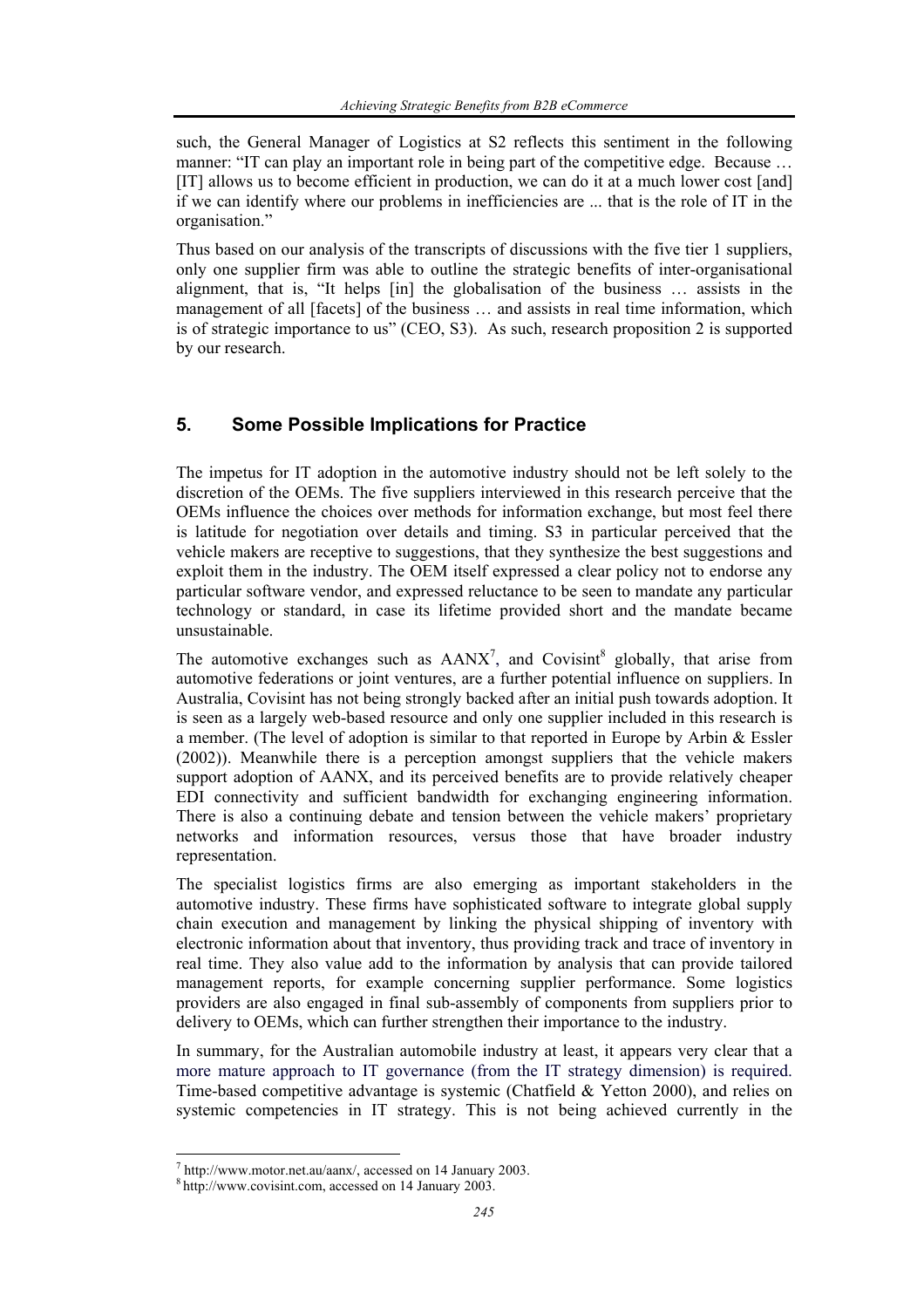such, the General Manager of Logistics at S2 reflects this sentiment in the following manner: "IT can play an important role in being part of the competitive edge. Because ... [IT] allows us to become efficient in production, we can do it at a much lower cost [and] if we can identify where our problems in inefficiencies are ... that is the role of IT in the organisation."

Thus based on our analysis of the transcripts of discussions with the five tier 1 suppliers, only one supplier firm was able to outline the strategic benefits of inter-organisational alignment, that is, "It helps [in] the globalisation of the business … assists in the management of all [facets] of the business … and assists in real time information, which is of strategic importance to us" (CEO, S3). As such, research proposition 2 is supported by our research.

## **5. Some Possible Implications for Practice**

The impetus for IT adoption in the automotive industry should not be left solely to the discretion of the OEMs. The five suppliers interviewed in this research perceive that the OEMs influence the choices over methods for information exchange, but most feel there is latitude for negotiation over details and timing. S3 in particular perceived that the vehicle makers are receptive to suggestions, that they synthesize the best suggestions and exploit them in the industry. The OEM itself expressed a clear policy not to endorse any particular software vendor, and expressed reluctance to be seen to mandate any particular technology or standard, in case its lifetime provided short and the mandate became unsustainable.

The automotive exchanges such as  $AANX^7$ , and Covisint<sup>8</sup> globally, that arise from automotive federations or joint ventures, are a further potential influence on suppliers. In Australia, Covisint has not being strongly backed after an initial push towards adoption. It is seen as a largely web-based resource and only one supplier included in this research is a member. (The level of adoption is similar to that reported in Europe by Arbin & Essler (2002)). Meanwhile there is a perception amongst suppliers that the vehicle makers support adoption of AANX, and its perceived benefits are to provide relatively cheaper EDI connectivity and sufficient bandwidth for exchanging engineering information. There is also a continuing debate and tension between the vehicle makers' proprietary networks and information resources, versus those that have broader industry representation.

The specialist logistics firms are also emerging as important stakeholders in the automotive industry. These firms have sophisticated software to integrate global supply chain execution and management by linking the physical shipping of inventory with electronic information about that inventory, thus providing track and trace of inventory in real time. They also value add to the information by analysis that can provide tailored management reports, for example concerning supplier performance. Some logistics providers are also engaged in final sub-assembly of components from suppliers prior to delivery to OEMs, which can further strengthen their importance to the industry.

In summary, for the Australian automobile industry at least, it appears very clear that a more mature approach to IT governance (from the IT strategy dimension) is required. Time-based competitive advantage is systemic (Chatfield & Yetton 2000), and relies on systemic competencies in IT strategy. This is not being achieved currently in the

 $^7$  http://www.motor.net.au/aanx/, accessed on 14 January 2003.  $^8$  http://www.covisint.com, accessed on 14 January 2003.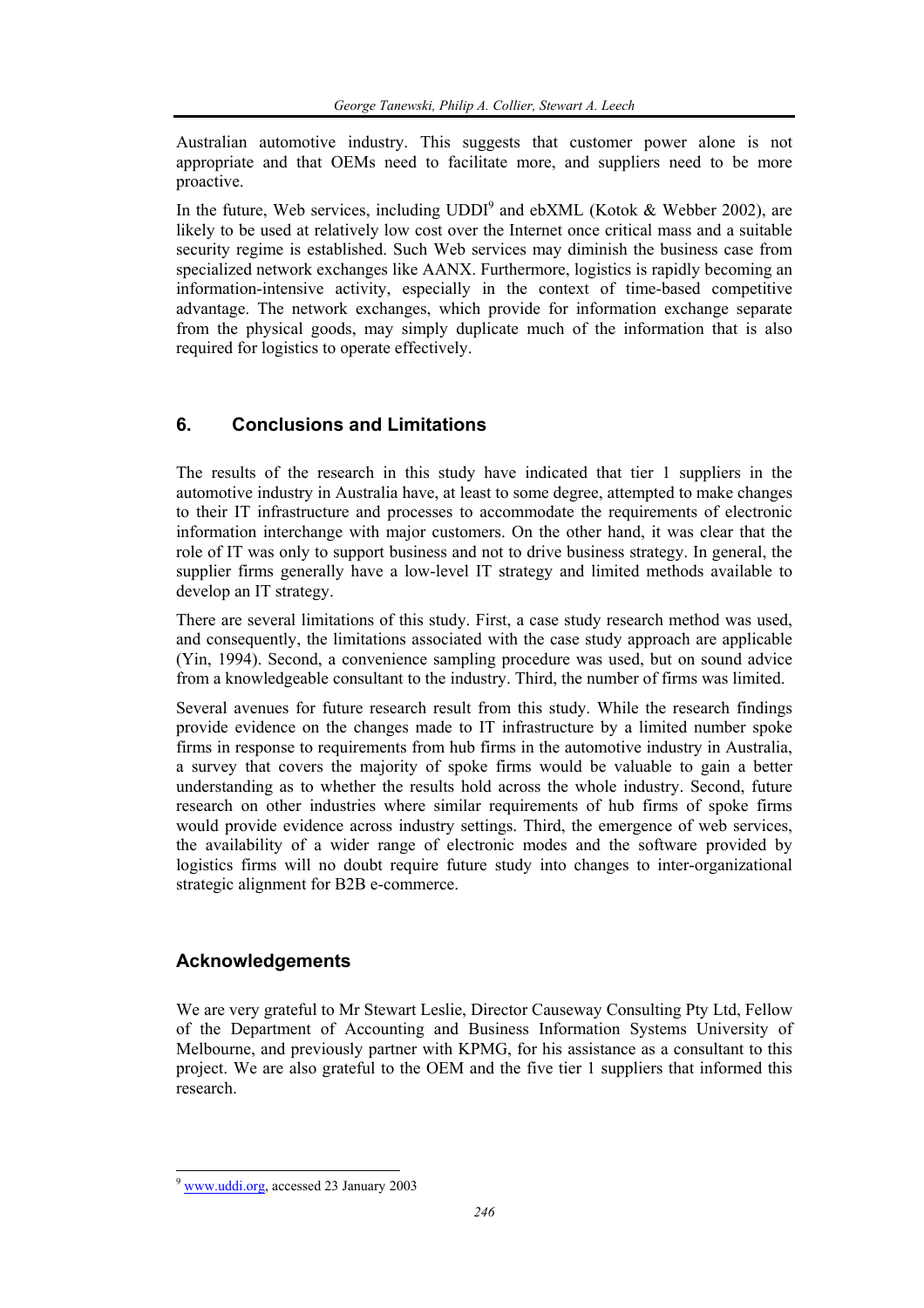Australian automotive industry. This suggests that customer power alone is not appropriate and that OEMs need to facilitate more, and suppliers need to be more proactive.

In the future, Web services, including  $UDDI<sup>9</sup>$  and ebXML (Kotok & Webber 2002), are likely to be used at relatively low cost over the Internet once critical mass and a suitable security regime is established. Such Web services may diminish the business case from specialized network exchanges like AANX. Furthermore, logistics is rapidly becoming an information-intensive activity, especially in the context of time-based competitive advantage. The network exchanges, which provide for information exchange separate from the physical goods, may simply duplicate much of the information that is also required for logistics to operate effectively.

# **6. Conclusions and Limitations**

The results of the research in this study have indicated that tier 1 suppliers in the automotive industry in Australia have, at least to some degree, attempted to make changes to their IT infrastructure and processes to accommodate the requirements of electronic information interchange with major customers. On the other hand, it was clear that the role of IT was only to support business and not to drive business strategy. In general, the supplier firms generally have a low-level IT strategy and limited methods available to develop an IT strategy.

There are several limitations of this study. First, a case study research method was used, and consequently, the limitations associated with the case study approach are applicable (Yin, 1994). Second, a convenience sampling procedure was used, but on sound advice from a knowledgeable consultant to the industry. Third, the number of firms was limited.

Several avenues for future research result from this study. While the research findings provide evidence on the changes made to IT infrastructure by a limited number spoke firms in response to requirements from hub firms in the automotive industry in Australia, a survey that covers the majority of spoke firms would be valuable to gain a better understanding as to whether the results hold across the whole industry. Second, future research on other industries where similar requirements of hub firms of spoke firms would provide evidence across industry settings. Third, the emergence of web services, the availability of a wider range of electronic modes and the software provided by logistics firms will no doubt require future study into changes to inter-organizational strategic alignment for B2B e-commerce.

# **Acknowledgements**

We are very grateful to Mr Stewart Leslie, Director Causeway Consulting Pty Ltd, Fellow of the Department of Accounting and Business Information Systems University of Melbourne, and previously partner with KPMG, for his assistance as a consultant to this project. We are also grateful to the OEM and the five tier 1 suppliers that informed this research.

<sup>9</sup> www.uddi.org, accessed 23 January 2003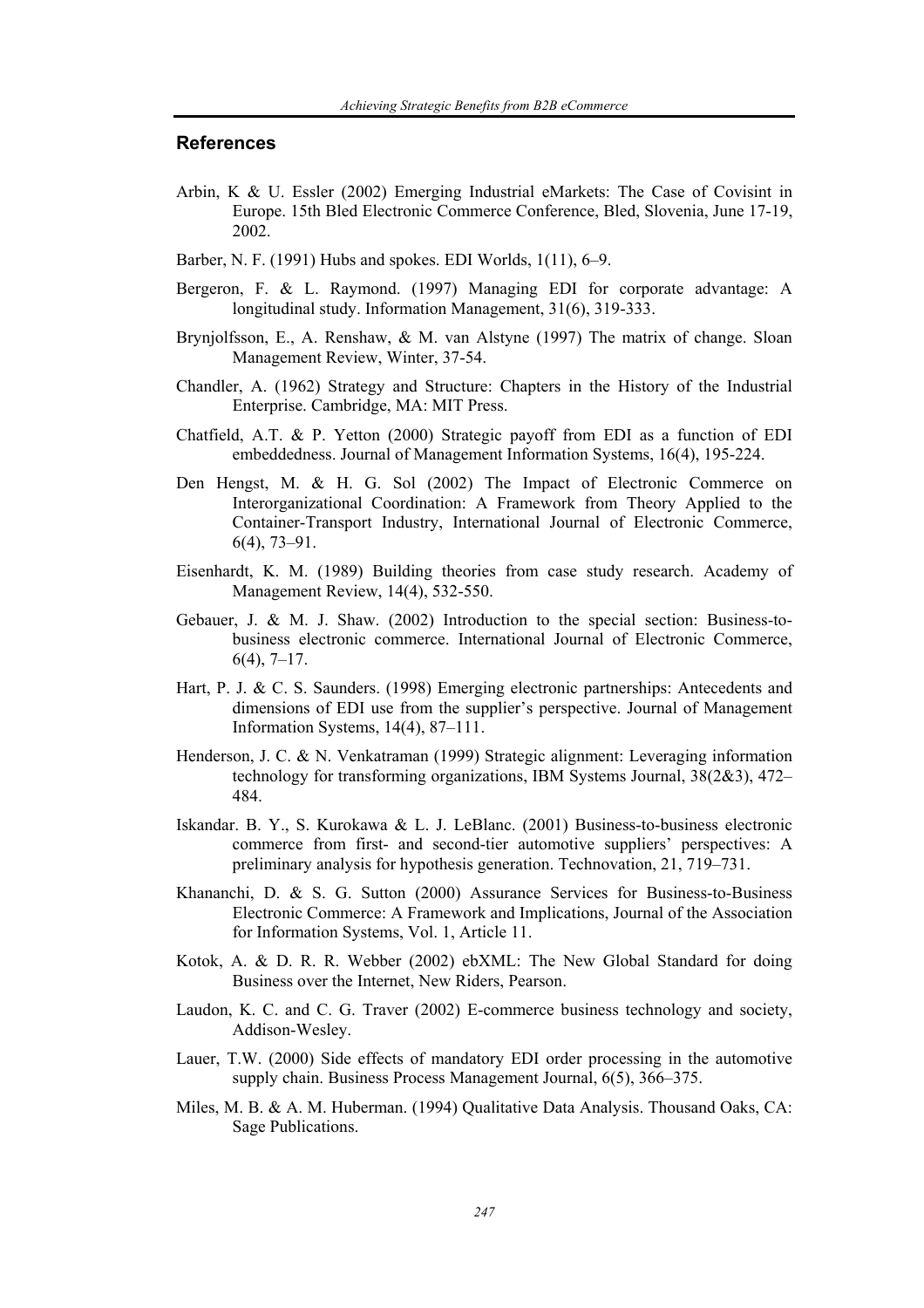#### **References**

- Arbin, K & U. Essler (2002) Emerging Industrial eMarkets: The Case of Covisint in Europe. 15th Bled Electronic Commerce Conference, Bled, Slovenia, June 17-19, 2002.
- Barber, N. F. (1991) Hubs and spokes. EDI Worlds, 1(11), 6–9.
- Bergeron, F. & L. Raymond. (1997) Managing EDI for corporate advantage: A longitudinal study. Information Management, 31(6), 319-333.
- Brynjolfsson, E., A. Renshaw, & M. van Alstyne (1997) The matrix of change. Sloan Management Review, Winter, 37-54.
- Chandler, A. (1962) Strategy and Structure: Chapters in the History of the Industrial Enterprise. Cambridge, MA: MIT Press.
- Chatfield, A.T. & P. Yetton (2000) Strategic payoff from EDI as a function of EDI embeddedness. Journal of Management Information Systems, 16(4), 195-224.
- Den Hengst, M. & H. G. Sol (2002) The Impact of Electronic Commerce on Interorganizational Coordination: A Framework from Theory Applied to the Container-Transport Industry, International Journal of Electronic Commerce, 6(4), 73–91.
- Eisenhardt, K. M. (1989) Building theories from case study research. Academy of Management Review, 14(4), 532-550.
- Gebauer, J. & M. J. Shaw. (2002) Introduction to the special section: Business-tobusiness electronic commerce. International Journal of Electronic Commerce,  $6(4)$ , 7–17.
- Hart, P. J. & C. S. Saunders. (1998) Emerging electronic partnerships: Antecedents and dimensions of EDI use from the supplier's perspective. Journal of Management Information Systems, 14(4), 87–111.
- Henderson, J. C. & N. Venkatraman (1999) Strategic alignment: Leveraging information technology for transforming organizations, IBM Systems Journal, 38(2&3), 472– 484.
- Iskandar. B. Y., S. Kurokawa & L. J. LeBlanc. (2001) Business-to-business electronic commerce from first- and second-tier automotive suppliers' perspectives: A preliminary analysis for hypothesis generation. Technovation, 21, 719–731.
- Khananchi, D. & S. G. Sutton (2000) Assurance Services for Business-to-Business Electronic Commerce: A Framework and Implications, Journal of the Association for Information Systems, Vol. 1, Article 11.
- Kotok, A. & D. R. R. Webber (2002) ebXML: The New Global Standard for doing Business over the Internet, New Riders, Pearson.
- Laudon, K. C. and C. G. Traver (2002) E-commerce business technology and society, Addison-Wesley.
- Lauer, T.W. (2000) Side effects of mandatory EDI order processing in the automotive supply chain. Business Process Management Journal, 6(5), 366–375.
- Miles, M. B. & A. M. Huberman. (1994) Qualitative Data Analysis. Thousand Oaks, CA: Sage Publications.